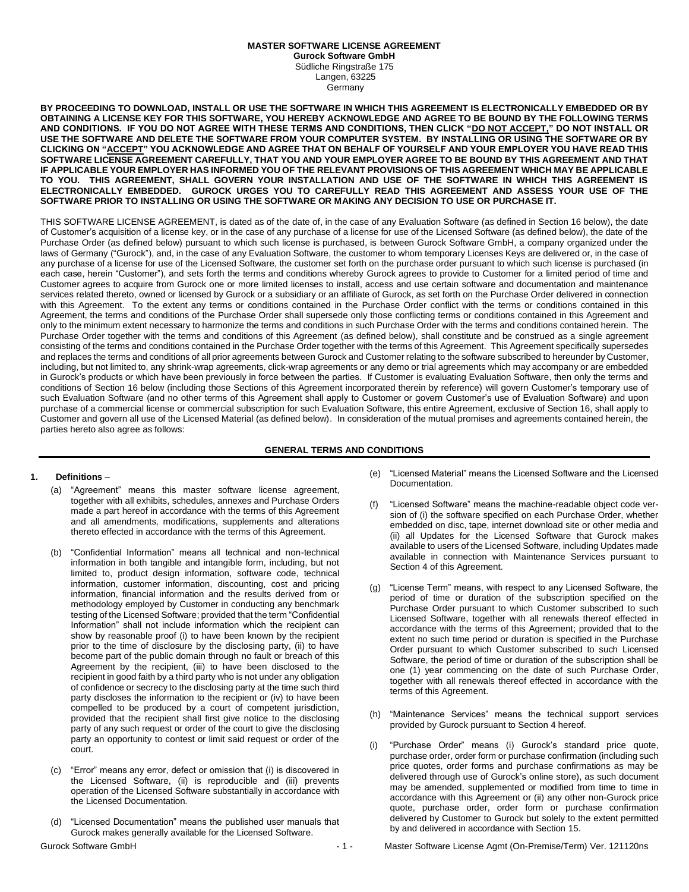### **MASTER SOFTWARE LICENSE AGREEMENT**

**Gurock Software GmbH** Südliche Ringstraße 175 Langen, 63225

Germany

**BY PROCEEDING TO DOWNLOAD, INSTALL OR USE THE SOFTWARE IN WHICH THIS AGREEMENT IS ELECTRONICALLY EMBEDDED OR BY OBTAINING A LICENSE KEY FOR THIS SOFTWARE, YOU HEREBY ACKNOWLEDGE AND AGREE TO BE BOUND BY THE FOLLOWING TERMS AND CONDITIONS. IF YOU DO NOT AGREE WITH THESE TERMS AND CONDITIONS, THEN CLICK "DO NOT ACCEPT," DO NOT INSTALL OR USE THE SOFTWARE AND DELETE THE SOFTWARE FROM YOUR COMPUTER SYSTEM. BY INSTALLING OR USING THE SOFTWARE OR BY CLICKING ON "ACCEPT" YOU ACKNOWLEDGE AND AGREE THAT ON BEHALF OF YOURSELF AND YOUR EMPLOYER YOU HAVE READ THIS SOFTWARE LICENSE AGREEMENT CAREFULLY, THAT YOU AND YOUR EMPLOYER AGREE TO BE BOUND BY THIS AGREEMENT AND THAT IF APPLICABLE YOUR EMPLOYER HAS INFORMED YOU OF THE RELEVANT PROVISIONS OF THIS AGREEMENT WHICH MAY BE APPLICABLE TO YOU. THIS AGREEMENT, SHALL GOVERN YOUR INSTALLATION AND USE OF THE SOFTWARE IN WHICH THIS AGREEMENT IS ELECTRONICALLY EMBEDDED. GUROCK URGES YOU TO CAREFULLY READ THIS AGREEMENT AND ASSESS YOUR USE OF THE SOFTWARE PRIOR TO INSTALLING OR USING THE SOFTWARE OR MAKING ANY DECISION TO USE OR PURCHASE IT.**

THIS SOFTWARE LICENSE AGREEMENT, is dated as of the date of, in the case of any Evaluation Software (as defined in Section 16 below), the date of Customer's acquisition of a license key, or in the case of any purchase of a license for use of the Licensed Software (as defined below), the date of the Purchase Order (as defined below) pursuant to which such license is purchased, is between Gurock Software GmbH, a company organized under the laws of Germany ("Gurock"), and, in the case of any Evaluation Software, the customer to whom temporary Licenses Keys are delivered or, in the case of any purchase of a license for use of the Licensed Software, the customer set forth on the purchase order pursuant to which such license is purchased (in each case, herein "Customer"), and sets forth the terms and conditions whereby Gurock agrees to provide to Customer for a limited period of time and Customer agrees to acquire from Gurock one or more limited licenses to install, access and use certain software and documentation and maintenance services related thereto, owned or licensed by Gurock or a subsidiary or an affiliate of Gurock, as set forth on the Purchase Order delivered in connection with this Agreement. To the extent any terms or conditions contained in the Purchase Order conflict with the terms or conditions contained in this Agreement, the terms and conditions of the Purchase Order shall supersede only those conflicting terms or conditions contained in this Agreement and only to the minimum extent necessary to harmonize the terms and conditions in such Purchase Order with the terms and conditions contained herein. The Purchase Order together with the terms and conditions of this Agreement (as defined below), shall constitute and be construed as a single agreement consisting of the terms and conditions contained in the Purchase Order together with the terms of this Agreement. This Agreement specifically supersedes and replaces the terms and conditions of all prior agreements between Gurock and Customer relating to the software subscribed to hereunder by Customer, including, but not limited to, any shrink-wrap agreements, click-wrap agreements or any demo or trial agreements which may accompany or are embedded in Gurock's products or which have been previously in force between the parties. If Customer is evaluating Evaluation Software, then only the terms and conditions of Section 16 below (including those Sections of this Agreement incorporated therein by reference) will govern Customer's temporary use of such Evaluation Software (and no other terms of this Agreement shall apply to Customer or govern Customer's use of Evaluation Software) and upon purchase of a commercial license or commercial subscription for such Evaluation Software, this entire Agreement, exclusive of Section 16, shall apply to Customer and govern all use of the Licensed Material (as defined below). In consideration of the mutual promises and agreements contained herein, the parties hereto also agree as follows:

#### **GENERAL TERMS AND CONDITIONS**

#### **1. Definitions** –

- (a) "Agreement" means this master software license agreement, together with all exhibits, schedules, annexes and Purchase Orders made a part hereof in accordance with the terms of this Agreement and all amendments, modifications, supplements and alterations thereto effected in accordance with the terms of this Agreement.
- (b) "Confidential Information" means all technical and non-technical information in both tangible and intangible form, including, but not limited to, product design information, software code, technical information, customer information, discounting, cost and pricing information, financial information and the results derived from or methodology employed by Customer in conducting any benchmark testing of the Licensed Software; provided that the term "Confidential Information" shall not include information which the recipient can show by reasonable proof (i) to have been known by the recipient prior to the time of disclosure by the disclosing party, (ii) to have become part of the public domain through no fault or breach of this Agreement by the recipient, (iii) to have been disclosed to the recipient in good faith by a third party who is not under any obligation of confidence or secrecy to the disclosing party at the time such third party discloses the information to the recipient or (iv) to have been compelled to be produced by a court of competent jurisdiction, provided that the recipient shall first give notice to the disclosing party of any such request or order of the court to give the disclosing party an opportunity to contest or limit said request or order of the court.
- (c) "Error" means any error, defect or omission that (i) is discovered in the Licensed Software, (ii) is reproducible and (iii) prevents operation of the Licensed Software substantially in accordance with the Licensed Documentation.
- (d) "Licensed Documentation" means the published user manuals that Gurock makes generally available for the Licensed Software.
- (e) "Licensed Material" means the Licensed Software and the Licensed Documentation.
- (f) "Licensed Software" means the machine-readable object code version of (i) the software specified on each Purchase Order, whether embedded on disc, tape, internet download site or other media and (ii) all Updates for the Licensed Software that Gurock makes available to users of the Licensed Software, including Updates made available in connection with Maintenance Services pursuant to Section 4 of this Agreement.
- (g) "License Term" means, with respect to any Licensed Software, the period of time or duration of the subscription specified on the Purchase Order pursuant to which Customer subscribed to such Licensed Software, together with all renewals thereof effected in accordance with the terms of this Agreement; provided that to the extent no such time period or duration is specified in the Purchase Order pursuant to which Customer subscribed to such Licensed Software, the period of time or duration of the subscription shall be one (1) year commencing on the date of such Purchase Order, together with all renewals thereof effected in accordance with the terms of this Agreement.
- (h) "Maintenance Services" means the technical support services provided by Gurock pursuant to Section 4 hereof.
- (i) "Purchase Order" means (i) Gurock's standard price quote, purchase order, order form or purchase confirmation (including such price quotes, order forms and purchase confirmations as may be delivered through use of Gurock's online store), as such document may be amended, supplemented or modified from time to time in accordance with this Agreement or (ii) any other non-Gurock price quote, purchase order, order form or purchase confirmation delivered by Customer to Gurock but solely to the extent permitted by and delivered in accordance with Section 15.

- 
- Gurock Software GmbH  $-1 -$ Master Software License Agmt (On-Premise/Term) Ver. 121120ns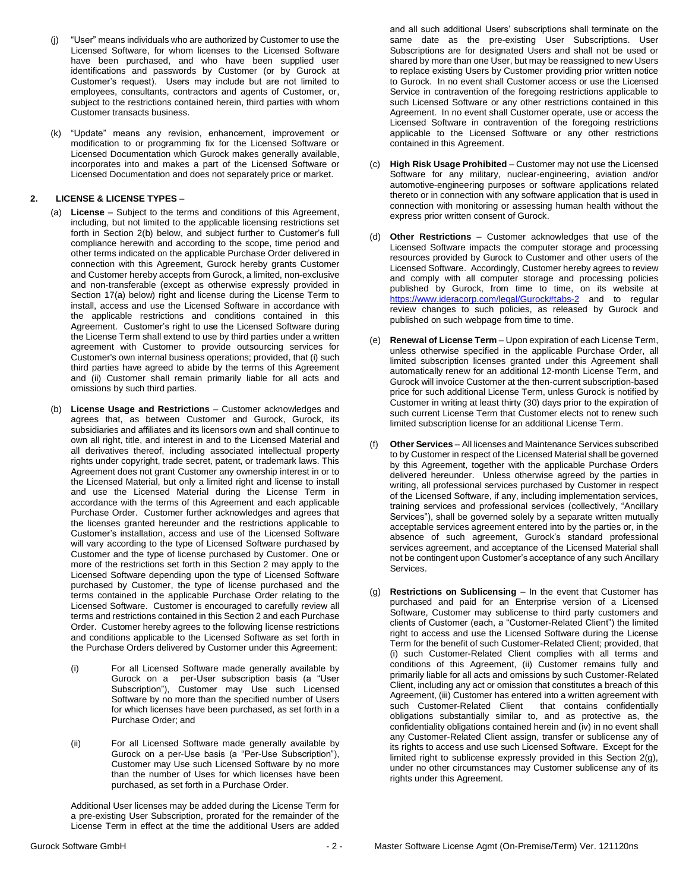- (j) "User" means individuals who are authorized by Customer to use the Licensed Software, for whom licenses to the Licensed Software have been purchased, and who have been supplied user identifications and passwords by Customer (or by Gurock at Customer's request). Users may include but are not limited to employees, consultants, contractors and agents of Customer, or, subject to the restrictions contained herein, third parties with whom Customer transacts business.
- (k) "Update" means any revision, enhancement, improvement or modification to or programming fix for the Licensed Software or Licensed Documentation which Gurock makes generally available, incorporates into and makes a part of the Licensed Software or Licensed Documentation and does not separately price or market.

## **2. LICENSE & LICENSE TYPES** –

- (a) **License** Subject to the terms and conditions of this Agreement, including, but not limited to the applicable licensing restrictions set forth in Section 2(b) below, and subject further to Customer's full compliance herewith and according to the scope, time period and other terms indicated on the applicable Purchase Order delivered in connection with this Agreement, Gurock hereby grants Customer and Customer hereby accepts from Gurock, a limited, non-exclusive and non-transferable (except as otherwise expressly provided in Section 17(a) below) right and license during the License Term to install, access and use the Licensed Software in accordance with the applicable restrictions and conditions contained in this Agreement. Customer's right to use the Licensed Software during the License Term shall extend to use by third parties under a written agreement with Customer to provide outsourcing services for Customer's own internal business operations; provided, that (i) such third parties have agreed to abide by the terms of this Agreement and (ii) Customer shall remain primarily liable for all acts and omissions by such third parties.
- (b) **License Usage and Restrictions** Customer acknowledges and agrees that, as between Customer and Gurock, Gurock, its subsidiaries and affiliates and its licensors own and shall continue to own all right, title, and interest in and to the Licensed Material and all derivatives thereof, including associated intellectual property rights under copyright, trade secret, patent, or trademark laws. This Agreement does not grant Customer any ownership interest in or to the Licensed Material, but only a limited right and license to install and use the Licensed Material during the License Term in accordance with the terms of this Agreement and each applicable Purchase Order. Customer further acknowledges and agrees that the licenses granted hereunder and the restrictions applicable to Customer's installation, access and use of the Licensed Software will vary according to the type of Licensed Software purchased by Customer and the type of license purchased by Customer. One or more of the restrictions set forth in this Section 2 may apply to the Licensed Software depending upon the type of Licensed Software purchased by Customer, the type of license purchased and the terms contained in the applicable Purchase Order relating to the Licensed Software. Customer is encouraged to carefully review all terms and restrictions contained in this Section 2 and each Purchase Order. Customer hereby agrees to the following license restrictions and conditions applicable to the Licensed Software as set forth in the Purchase Orders delivered by Customer under this Agreement:
	- (i) For all Licensed Software made generally available by Gurock on a per-User subscription basis (a "User Subscription"), Customer may Use such Licensed Software by no more than the specified number of Users for which licenses have been purchased, as set forth in a Purchase Order; and
	- (ii) For all Licensed Software made generally available by Gurock on a per-Use basis (a "Per-Use Subscription"), Customer may Use such Licensed Software by no more than the number of Uses for which licenses have been purchased, as set forth in a Purchase Order.

Additional User licenses may be added during the License Term for a pre-existing User Subscription, prorated for the remainder of the License Term in effect at the time the additional Users are added

and all such additional Users' subscriptions shall terminate on the same date as the pre-existing User Subscriptions. User Subscriptions are for designated Users and shall not be used or shared by more than one User, but may be reassigned to new Users to replace existing Users by Customer providing prior written notice to Gurock. In no event shall Customer access or use the Licensed Service in contravention of the foregoing restrictions applicable to such Licensed Software or any other restrictions contained in this Agreement. In no event shall Customer operate, use or access the Licensed Software in contravention of the foregoing restrictions applicable to the Licensed Software or any other restrictions contained in this Agreement.

- (c) **High Risk Usage Prohibited** Customer may not use the Licensed Software for any military, nuclear-engineering, aviation and/or automotive-engineering purposes or software applications related thereto or in connection with any software application that is used in connection with monitoring or assessing human health without the express prior written consent of Gurock.
- (d) **Other Restrictions**  Customer acknowledges that use of the Licensed Software impacts the computer storage and processing resources provided by Gurock to Customer and other users of the Licensed Software. Accordingly, Customer hereby agrees to review and comply with all computer storage and processing policies published by Gurock, from time to time, on its website at <https://www.ideracorp.com/legal/Gurock#tabs-2> and to regular review changes to such policies, as released by Gurock and published on such webpage from time to time.
- (e) **Renewal of License Term** Upon expiration of each License Term, unless otherwise specified in the applicable Purchase Order, all limited subscription licenses granted under this Agreement shall automatically renew for an additional 12-month License Term, and Gurock will invoice Customer at the then-current subscription-based price for such additional License Term, unless Gurock is notified by Customer in writing at least thirty (30) days prior to the expiration of such current License Term that Customer elects not to renew such limited subscription license for an additional License Term.
- (f) **Other Services**  All licenses and Maintenance Services subscribed to by Customer in respect of the Licensed Material shall be governed by this Agreement, together with the applicable Purchase Orders delivered hereunder. Unless otherwise agreed by the parties in writing, all professional services purchased by Customer in respect of the Licensed Software, if any, including implementation services, training services and professional services (collectively, "Ancillary Services"), shall be governed solely by a separate written mutually acceptable services agreement entered into by the parties or, in the absence of such agreement, Gurock's standard professional services agreement, and acceptance of the Licensed Material shall not be contingent upon Customer's acceptance of any such Ancillary Services.
- (g) **Restrictions on Sublicensing** In the event that Customer has purchased and paid for an Enterprise version of a Licensed Software, Customer may sublicense to third party customers and clients of Customer (each, a "Customer-Related Client") the limited right to access and use the Licensed Software during the License Term for the benefit of such Customer-Related Client; provided, that (i) such Customer-Related Client complies with all terms and conditions of this Agreement, (ii) Customer remains fully and primarily liable for all acts and omissions by such Customer-Related Client, including any act or omission that constitutes a breach of this Agreement, (iii) Customer has entered into a written agreement with<br>such Customer-Related Client that contains confidentially such Customer-Related Client obligations substantially similar to, and as protective as, the confidentiality obligations contained herein and (iv) in no event shall any Customer-Related Client assign, transfer or sublicense any of its rights to access and use such Licensed Software. Except for the limited right to sublicense expressly provided in this Section 2(g), under no other circumstances may Customer sublicense any of its rights under this Agreement.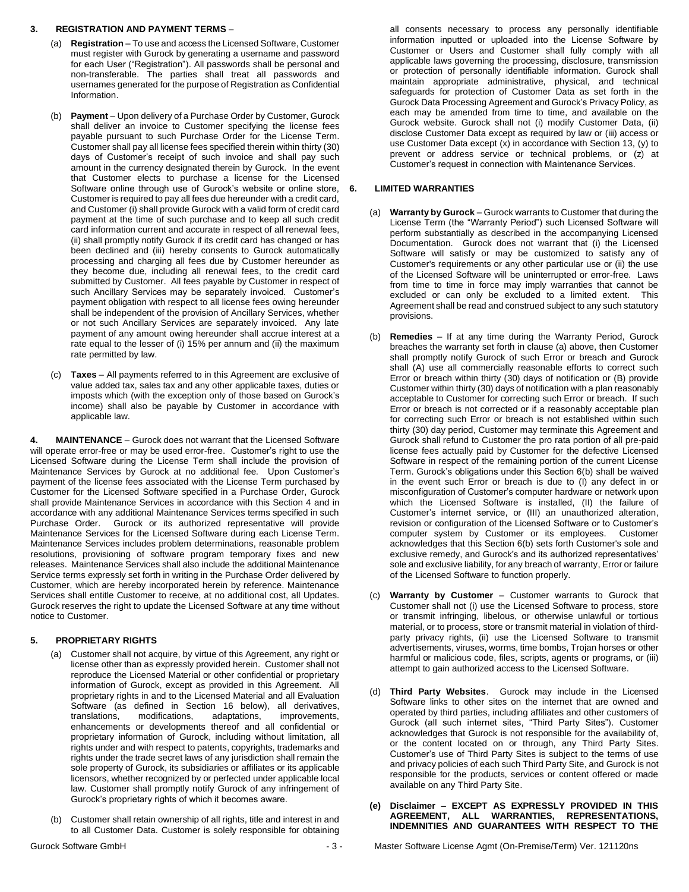## **3. REGISTRATION AND PAYMENT TERMS** –

- (a) **Registration** To use and access the Licensed Software, Customer must register with Gurock by generating a username and password for each User ("Registration"). All passwords shall be personal and non-transferable. The parties shall treat all passwords and usernames generated for the purpose of Registration as Confidential Information.
- (b) **Payment** Upon delivery of a Purchase Order by Customer, Gurock shall deliver an invoice to Customer specifying the license fees payable pursuant to such Purchase Order for the License Term. Customer shall pay all license fees specified therein within thirty (30) days of Customer's receipt of such invoice and shall pay such amount in the currency designated therein by Gurock. In the event that Customer elects to purchase a license for the Licensed Software online through use of Gurock's website or online store, Customer is required to pay all fees due hereunder with a credit card, and Customer (i) shall provide Gurock with a valid form of credit card payment at the time of such purchase and to keep all such credit card information current and accurate in respect of all renewal fees, (ii) shall promptly notify Gurock if its credit card has changed or has been declined and (iii) hereby consents to Gurock automatically processing and charging all fees due by Customer hereunder as they become due, including all renewal fees, to the credit card submitted by Customer. All fees payable by Customer in respect of such Ancillary Services may be separately invoiced. Customer's payment obligation with respect to all license fees owing hereunder shall be independent of the provision of Ancillary Services, whether or not such Ancillary Services are separately invoiced. Any late payment of any amount owing hereunder shall accrue interest at a rate equal to the lesser of (i) 15% per annum and (ii) the maximum rate permitted by law.
- (c) **Taxes** All payments referred to in this Agreement are exclusive of value added tax, sales tax and any other applicable taxes, duties or imposts which (with the exception only of those based on Gurock's income) shall also be payable by Customer in accordance with applicable law.

**4. MAINTENANCE** – Gurock does not warrant that the Licensed Software will operate error-free or may be used error-free. Customer's right to use the Licensed Software during the License Term shall include the provision of Maintenance Services by Gurock at no additional fee. Upon Customer's payment of the license fees associated with the License Term purchased by Customer for the Licensed Software specified in a Purchase Order, Gurock shall provide Maintenance Services in accordance with this Section 4 and in accordance with any additional Maintenance Services terms specified in such Purchase Order. Gurock or its authorized representative will provide Maintenance Services for the Licensed Software during each License Term. Maintenance Services includes problem determinations, reasonable problem resolutions, provisioning of software program temporary fixes and new releases. Maintenance Services shall also include the additional Maintenance Service terms expressly set forth in writing in the Purchase Order delivered by Customer, which are hereby incorporated herein by reference. Maintenance Services shall entitle Customer to receive, at no additional cost, all Updates. Gurock reserves the right to update the Licensed Software at any time without notice to Customer.

# **5. PROPRIETARY RIGHTS**

- (a) Customer shall not acquire, by virtue of this Agreement, any right or license other than as expressly provided herein. Customer shall not reproduce the Licensed Material or other confidential or proprietary information of Gurock, except as provided in this Agreement. All proprietary rights in and to the Licensed Material and all Evaluation Software (as defined in Section 16 below), all derivatives, translations, modifications, adaptations, improvements, enhancements or developments thereof and all confidential or proprietary information of Gurock, including without limitation, all rights under and with respect to patents, copyrights, trademarks and rights under the trade secret laws of any jurisdiction shall remain the sole property of Gurock, its subsidiaries or affiliates or its applicable licensors, whether recognized by or perfected under applicable local law. Customer shall promptly notify Gurock of any infringement of Gurock's proprietary rights of which it becomes aware.
- Customer shall retain ownership of all rights, title and interest in and to all Customer Data. Customer is solely responsible for obtaining

all consents necessary to process any personally identifiable information inputted or uploaded into the License Software by Customer or Users and Customer shall fully comply with all applicable laws governing the processing, disclosure, transmission or protection of personally identifiable information. Gurock shall maintain appropriate administrative, physical, and technical safeguards for protection of Customer Data as set forth in the Gurock Data Processing Agreement and Gurock's Privacy Policy, as each may be amended from time to time, and available on the Gurock website. Gurock shall not (i) modify Customer Data, (ii) disclose Customer Data except as required by law or (iii) access or use Customer Data except (x) in accordance with Section 13, (y) to prevent or address service or technical problems, or (z) at Customer's request in connection with Maintenance Services.

### **6. LIMITED WARRANTIES**

- (a) **Warranty by Gurock** Gurock warrants to Customer that during the License Term (the "Warranty Period") such Licensed Software will perform substantially as described in the accompanying Licensed Documentation. Gurock does not warrant that (i) the Licensed Software will satisfy or may be customized to satisfy any of Customer's requirements or any other particular use or (ii) the use of the Licensed Software will be uninterrupted or error-free. Laws from time to time in force may imply warranties that cannot be excluded or can only be excluded to a limited extent. This Agreement shall be read and construed subject to any such statutory provisions.
- (b) **Remedies**  If at any time during the Warranty Period, Gurock breaches the warranty set forth in clause (a) above, then Customer shall promptly notify Gurock of such Error or breach and Gurock shall (A) use all commercially reasonable efforts to correct such Error or breach within thirty (30) days of notification or (B) provide Customer within thirty (30) days of notification with a plan reasonably acceptable to Customer for correcting such Error or breach. If such Error or breach is not corrected or if a reasonably acceptable plan for correcting such Error or breach is not established within such thirty (30) day period, Customer may terminate this Agreement and Gurock shall refund to Customer the pro rata portion of all pre-paid license fees actually paid by Customer for the defective Licensed Software in respect of the remaining portion of the current License Term. Gurock's obligations under this Section 6(b) shall be waived in the event such Error or breach is due to (I) any defect in or misconfiguration of Customer's computer hardware or network upon which the Licensed Software is installed, (II) the failure of Customer's internet service, or (III) an unauthorized alteration, revision or configuration of the Licensed Software or to Customer's computer system by Customer or its employees. Customer acknowledges that this Section 6(b) sets forth Customer's sole and exclusive remedy, and Gurock's and its authorized representatives' sole and exclusive liability, for any breach of warranty, Error or failure of the Licensed Software to function properly.
- (c) **Warranty by Customer**  Customer warrants to Gurock that Customer shall not (i) use the Licensed Software to process, store or transmit infringing, libelous, or otherwise unlawful or tortious material, or to process, store or transmit material in violation of thirdparty privacy rights, (ii) use the Licensed Software to transmit advertisements, viruses, worms, time bombs, Trojan horses or other harmful or malicious code, files, scripts, agents or programs, or (iii) attempt to gain authorized access to the Licensed Software.
- (d) **Third Party Websites**. Gurock may include in the Licensed Software links to other sites on the internet that are owned and operated by third parties, including affiliates and other customers of Gurock (all such internet sites, "Third Party Sites"). Customer acknowledges that Gurock is not responsible for the availability of, or the content located on or through, any Third Party Sites. Customer's use of Third Party Sites is subject to the terms of use and privacy policies of each such Third Party Site, and Gurock is not responsible for the products, services or content offered or made available on any Third Party Site.

#### **(e) Disclaimer – EXCEPT AS EXPRESSLY PROVIDED IN THIS AGREEMENT, ALL WARRANTIES, REPRESENTATIONS, INDEMNITIES AND GUARANTEES WITH RESPECT TO THE**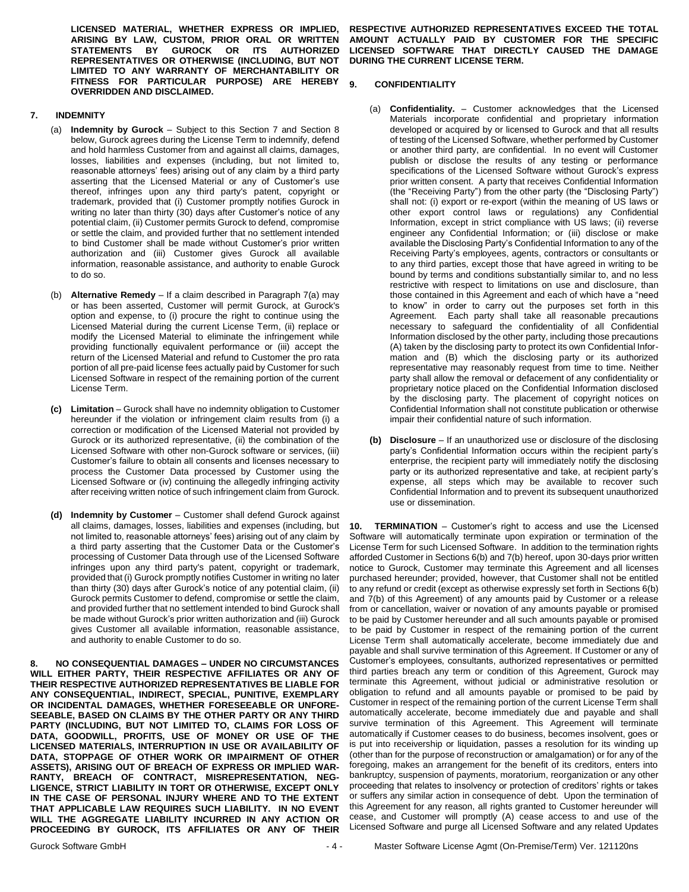**LICENSED MATERIAL, WHETHER EXPRESS OR IMPLIED, ARISING BY LAW, CUSTOM, PRIOR ORAL OR WRITTEN GUROCK OR ITS REPRESENTATIVES OR OTHERWISE (INCLUDING, BUT NOT LIMITED TO ANY WARRANTY OF MERCHANTABILITY OR FITNESS FOR PARTICULAR PURPOSE) ARE HEREBY OVERRIDDEN AND DISCLAIMED.**

## **7. INDEMNITY**

- (a) **Indemnity by Gurock** Subject to this Section 7 and Section 8 below, Gurock agrees during the License Term to indemnify, defend and hold harmless Customer from and against all claims, damages, losses, liabilities and expenses (including, but not limited to, reasonable attorneys' fees) arising out of any claim by a third party asserting that the Licensed Material or any of Customer's use thereof, infringes upon any third party's patent, copyright or trademark, provided that (i) Customer promptly notifies Gurock in writing no later than thirty (30) days after Customer's notice of any potential claim, (ii) Customer permits Gurock to defend, compromise or settle the claim, and provided further that no settlement intended to bind Customer shall be made without Customer's prior written authorization and (iii) Customer gives Gurock all available information, reasonable assistance, and authority to enable Gurock to do so.
- (b) **Alternative Remedy** If a claim described in Paragraph 7(a) may or has been asserted, Customer will permit Gurock, at Gurock's option and expense, to (i) procure the right to continue using the Licensed Material during the current License Term, (ii) replace or modify the Licensed Material to eliminate the infringement while providing functionally equivalent performance or (iii) accept the return of the Licensed Material and refund to Customer the pro rata portion of all pre-paid license fees actually paid by Customer for such Licensed Software in respect of the remaining portion of the current License Term.
- **(c) Limitation** Gurock shall have no indemnity obligation to Customer hereunder if the violation or infringement claim results from (i) a correction or modification of the Licensed Material not provided by Gurock or its authorized representative, (ii) the combination of the Licensed Software with other non-Gurock software or services, (iii) Customer's failure to obtain all consents and licenses necessary to process the Customer Data processed by Customer using the Licensed Software or (iv) continuing the allegedly infringing activity after receiving written notice of such infringement claim from Gurock.
- **(d) Indemnity by Customer**  Customer shall defend Gurock against all claims, damages, losses, liabilities and expenses (including, but not limited to, reasonable attorneys' fees) arising out of any claim by a third party asserting that the Customer Data or the Customer's processing of Customer Data through use of the Licensed Software infringes upon any third party's patent, copyright or trademark, provided that (i) Gurock promptly notifies Customer in writing no later than thirty (30) days after Gurock's notice of any potential claim, (ii) Gurock permits Customer to defend, compromise or settle the claim, and provided further that no settlement intended to bind Gurock shall be made without Gurock's prior written authorization and (iii) Gurock gives Customer all available information, reasonable assistance, and authority to enable Customer to do so.

**8. NO CONSEQUENTIAL DAMAGES – UNDER NO CIRCUMSTANCES WILL EITHER PARTY, THEIR RESPECTIVE AFFILIATES OR ANY OF THEIR RESPECTIVE AUTHORIZED REPRESENTATIVES BE LIABLE FOR ANY CONSEQUENTIAL, INDIRECT, SPECIAL, PUNITIVE, EXEMPLARY OR INCIDENTAL DAMAGES, WHETHER FORESEEABLE OR UNFORE-SEEABLE, BASED ON CLAIMS BY THE OTHER PARTY OR ANY THIRD PARTY (INCLUDING, BUT NOT LIMITED TO, CLAIMS FOR LOSS OF DATA, GOODWILL, PROFITS, USE OF MONEY OR USE OF THE LICENSED MATERIALS, INTERRUPTION IN USE OR AVAILABILITY OF DATA, STOPPAGE OF OTHER WORK OR IMPAIRMENT OF OTHER ASSETS), ARISING OUT OF BREACH OF EXPRESS OR IMPLIED WAR-RANTY, BREACH OF CONTRACT, MISREPRESENTATION, NEG-LIGENCE, STRICT LIABILITY IN TORT OR OTHERWISE, EXCEPT ONLY IN THE CASE OF PERSONAL INJURY WHERE AND TO THE EXTENT THAT APPLICABLE LAW REQUIRES SUCH LIABILITY. IN NO EVENT WILL THE AGGREGATE LIABILITY INCURRED IN ANY ACTION OR PROCEEDING BY GUROCK, ITS AFFILIATES OR ANY OF THEIR** 

**RESPECTIVE AUTHORIZED REPRESENTATIVES EXCEED THE TOTAL AMOUNT ACTUALLY PAID BY CUSTOMER FOR THE SPECIFIC LICENSED SOFTWARE THAT DIRECTLY CAUSED THE DAMAGE DURING THE CURRENT LICENSE TERM.**

### **9. CONFIDENTIALITY**

- (a) **Confidentiality.** Customer acknowledges that the Licensed Materials incorporate confidential and proprietary information developed or acquired by or licensed to Gurock and that all results of testing of the Licensed Software, whether performed by Customer or another third party, are confidential. In no event will Customer publish or disclose the results of any testing or performance specifications of the Licensed Software without Gurock's express prior written consent. A party that receives Confidential Information (the "Receiving Party") from the other party (the "Disclosing Party") shall not: (i) export or re-export (within the meaning of US laws or other export control laws or regulations) any Confidential Information, except in strict compliance with US laws; (ii) reverse engineer any Confidential Information; or (iii) disclose or make available the Disclosing Party's Confidential Information to any of the Receiving Party's employees, agents, contractors or consultants or to any third parties, except those that have agreed in writing to be bound by terms and conditions substantially similar to, and no less restrictive with respect to limitations on use and disclosure, than those contained in this Agreement and each of which have a "need to know" in order to carry out the purposes set forth in this Agreement. Each party shall take all reasonable precautions necessary to safeguard the confidentiality of all Confidential Information disclosed by the other party, including those precautions (A) taken by the disclosing party to protect its own Confidential Information and (B) which the disclosing party or its authorized representative may reasonably request from time to time. Neither party shall allow the removal or defacement of any confidentiality or proprietary notice placed on the Confidential Information disclosed by the disclosing party. The placement of copyright notices on Confidential Information shall not constitute publication or otherwise impair their confidential nature of such information.
- **(b) Disclosure**  If an unauthorized use or disclosure of the disclosing party's Confidential Information occurs within the recipient party's enterprise, the recipient party will immediately notify the disclosing party or its authorized representative and take, at recipient party's expense, all steps which may be available to recover such Confidential Information and to prevent its subsequent unauthorized use or dissemination.

**10. TERMINATION** – Customer's right to access and use the Licensed Software will automatically terminate upon expiration or termination of the License Term for such Licensed Software. In addition to the termination rights afforded Customer in Sections 6(b) and 7(b) hereof, upon 30-days prior written notice to Gurock, Customer may terminate this Agreement and all licenses purchased hereunder; provided, however, that Customer shall not be entitled to any refund or credit (except as otherwise expressly set forth in Sections 6(b) and 7(b) of this Agreement) of any amounts paid by Customer or a release from or cancellation, waiver or novation of any amounts payable or promised to be paid by Customer hereunder and all such amounts payable or promised to be paid by Customer in respect of the remaining portion of the current License Term shall automatically accelerate, become immediately due and payable and shall survive termination of this Agreement. If Customer or any of Customer's employees, consultants, authorized representatives or permitted third parties breach any term or condition of this Agreement, Gurock may terminate this Agreement, without judicial or administrative resolution or obligation to refund and all amounts payable or promised to be paid by Customer in respect of the remaining portion of the current License Term shall automatically accelerate, become immediately due and payable and shall survive termination of this Agreement. This Agreement will terminate automatically if Customer ceases to do business, becomes insolvent, goes or is put into receivership or liquidation, passes a resolution for its winding up (other than for the purpose of reconstruction or amalgamation) or for any of the foregoing, makes an arrangement for the benefit of its creditors, enters into bankruptcy, suspension of payments, moratorium, reorganization or any other proceeding that relates to insolvency or protection of creditors' rights or takes or suffers any similar action in consequence of debt. Upon the termination of this Agreement for any reason, all rights granted to Customer hereunder will cease, and Customer will promptly (A) cease access to and use of the Licensed Software and purge all Licensed Software and any related Updates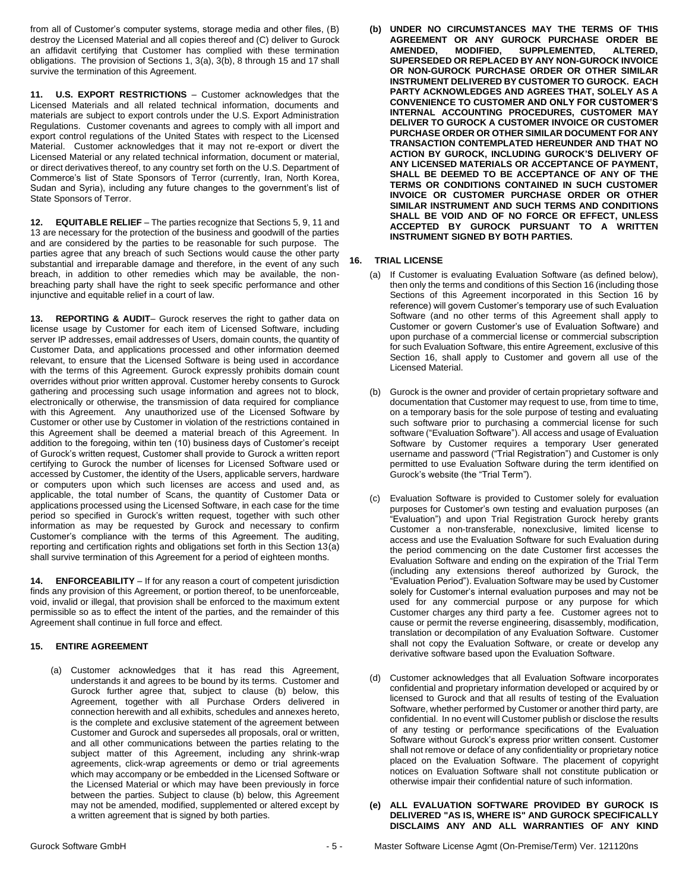from all of Customer's computer systems, storage media and other files, (B) destroy the Licensed Material and all copies thereof and (C) deliver to Gurock an affidavit certifying that Customer has complied with these termination obligations. The provision of Sections 1, 3(a), 3(b), 8 through 15 and 17 shall survive the termination of this Agreement.

**11. U.S. EXPORT RESTRICTIONS** – Customer acknowledges that the Licensed Materials and all related technical information, documents and materials are subject to export controls under the U.S. Export Administration Regulations. Customer covenants and agrees to comply with all import and export control regulations of the United States with respect to the Licensed Material. Customer acknowledges that it may not re-export or divert the Licensed Material or any related technical information, document or material, or direct derivatives thereof, to any country set forth on the U.S. Department of Commerce's list of State Sponsors of Terror (currently, Iran, North Korea, Sudan and Syria), including any future changes to the government's list of State Sponsors of Terror.

**12. EQUITABLE RELIEF** – The parties recognize that Sections 5, 9, 11 and 13 are necessary for the protection of the business and goodwill of the parties and are considered by the parties to be reasonable for such purpose. The parties agree that any breach of such Sections would cause the other party substantial and irreparable damage and therefore, in the event of any such breach, in addition to other remedies which may be available, the nonbreaching party shall have the right to seek specific performance and other injunctive and equitable relief in a court of law.

**13. REPORTING & AUDIT**– Gurock reserves the right to gather data on license usage by Customer for each item of Licensed Software, including server IP addresses, email addresses of Users, domain counts, the quantity of Customer Data, and applications processed and other information deemed relevant, to ensure that the Licensed Software is being used in accordance with the terms of this Agreement. Gurock expressly prohibits domain count overrides without prior written approval. Customer hereby consents to Gurock gathering and processing such usage information and agrees not to block, electronically or otherwise, the transmission of data required for compliance with this Agreement. Any unauthorized use of the Licensed Software by Customer or other use by Customer in violation of the restrictions contained in this Agreement shall be deemed a material breach of this Agreement. In addition to the foregoing, within ten (10) business days of Customer's receipt of Gurock's written request, Customer shall provide to Gurock a written report certifying to Gurock the number of licenses for Licensed Software used or accessed by Customer, the identity of the Users, applicable servers, hardware or computers upon which such licenses are access and used and, as applicable, the total number of Scans, the quantity of Customer Data or applications processed using the Licensed Software, in each case for the time period so specified in Gurock's written request, together with such other information as may be requested by Gurock and necessary to confirm Customer's compliance with the terms of this Agreement. The auditing, reporting and certification rights and obligations set forth in this Section 13(a) shall survive termination of this Agreement for a period of eighteen months.

**14. ENFORCEABILITY** – If for any reason a court of competent jurisdiction finds any provision of this Agreement, or portion thereof, to be unenforceable, void, invalid or illegal, that provision shall be enforced to the maximum extent permissible so as to effect the intent of the parties, and the remainder of this Agreement shall continue in full force and effect.

# **15. ENTIRE AGREEMENT**

(a) Customer acknowledges that it has read this Agreement, understands it and agrees to be bound by its terms. Customer and Gurock further agree that, subject to clause (b) below, this Agreement, together with all Purchase Orders delivered in connection herewith and all exhibits, schedules and annexes hereto, is the complete and exclusive statement of the agreement between Customer and Gurock and supersedes all proposals, oral or written, and all other communications between the parties relating to the subject matter of this Agreement, including any shrink-wrap agreements, click-wrap agreements or demo or trial agreements which may accompany or be embedded in the Licensed Software or the Licensed Material or which may have been previously in force between the parties. Subject to clause (b) below, this Agreement may not be amended, modified, supplemented or altered except by a written agreement that is signed by both parties.

**(b) UNDER NO CIRCUMSTANCES MAY THE TERMS OF THIS AGREEMENT OR ANY GUROCK PURCHASE ORDER BE AUPPLEMENTED, ALTERED, SUPERSEDED OR REPLACED BY ANY NON-GUROCK INVOICE OR NON-GUROCK PURCHASE ORDER OR OTHER SIMILAR INSTRUMENT DELIVERED BY CUSTOMER TO GUROCK. EACH PARTY ACKNOWLEDGES AND AGREES THAT, SOLELY AS A CONVENIENCE TO CUSTOMER AND ONLY FOR CUSTOMER'S INTERNAL ACCOUNTING PROCEDURES, CUSTOMER MAY DELIVER TO GUROCK A CUSTOMER INVOICE OR CUSTOMER PURCHASE ORDER OR OTHER SIMILAR DOCUMENT FOR ANY TRANSACTION CONTEMPLATED HEREUNDER AND THAT NO ACTION BY GUROCK, INCLUDING GUROCK'S DELIVERY OF ANY LICENSED MATERIALS OR ACCEPTANCE OF PAYMENT, SHALL BE DEEMED TO BE ACCEPTANCE OF ANY OF THE TERMS OR CONDITIONS CONTAINED IN SUCH CUSTOMER INVOICE OR CUSTOMER PURCHASE ORDER OR OTHER SIMILAR INSTRUMENT AND SUCH TERMS AND CONDITIONS SHALL BE VOID AND OF NO FORCE OR EFFECT, UNLESS ACCEPTED BY GUROCK PURSUANT TO A WRITTEN INSTRUMENT SIGNED BY BOTH PARTIES.**

### **16. TRIAL LICENSE**

- (a) If Customer is evaluating Evaluation Software (as defined below), then only the terms and conditions of this Section 16 (including those Sections of this Agreement incorporated in this Section 16 by reference) will govern Customer's temporary use of such Evaluation Software (and no other terms of this Agreement shall apply to Customer or govern Customer's use of Evaluation Software) and upon purchase of a commercial license or commercial subscription for such Evaluation Software, this entire Agreement, exclusive of this Section 16, shall apply to Customer and govern all use of the Licensed Material.
- (b) Gurock is the owner and provider of certain proprietary software and documentation that Customer may request to use, from time to time, on a temporary basis for the sole purpose of testing and evaluating such software prior to purchasing a commercial license for such software ("Evaluation Software"). All access and usage of Evaluation Software by Customer requires a temporary User generated username and password ("Trial Registration") and Customer is only permitted to use Evaluation Software during the term identified on Gurock's website (the "Trial Term").
- (c) Evaluation Software is provided to Customer solely for evaluation purposes for Customer's own testing and evaluation purposes (an "Evaluation") and upon Trial Registration Gurock hereby grants Customer a non-transferable, nonexclusive, limited license to access and use the Evaluation Software for such Evaluation during the period commencing on the date Customer first accesses the Evaluation Software and ending on the expiration of the Trial Term (including any extensions thereof authorized by Gurock, the "Evaluation Period"). Evaluation Software may be used by Customer solely for Customer's internal evaluation purposes and may not be used for any commercial purpose or any purpose for which Customer charges any third party a fee. Customer agrees not to cause or permit the reverse engineering, disassembly, modification, translation or decompilation of any Evaluation Software. Customer shall not copy the Evaluation Software, or create or develop any derivative software based upon the Evaluation Software.
- (d) Customer acknowledges that all Evaluation Software incorporates confidential and proprietary information developed or acquired by or licensed to Gurock and that all results of testing of the Evaluation Software, whether performed by Customer or another third party, are confidential. In no event will Customer publish or disclose the results of any testing or performance specifications of the Evaluation Software without Gurock's express prior written consent. Customer shall not remove or deface of any confidentiality or proprietary notice placed on the Evaluation Software. The placement of copyright notices on Evaluation Software shall not constitute publication or otherwise impair their confidential nature of such information.

#### **(e) ALL EVALUATION SOFTWARE PROVIDED BY GUROCK IS DELIVERED "AS IS, WHERE IS" AND GUROCK SPECIFICALLY DISCLAIMS ANY AND ALL WARRANTIES OF ANY KIND**